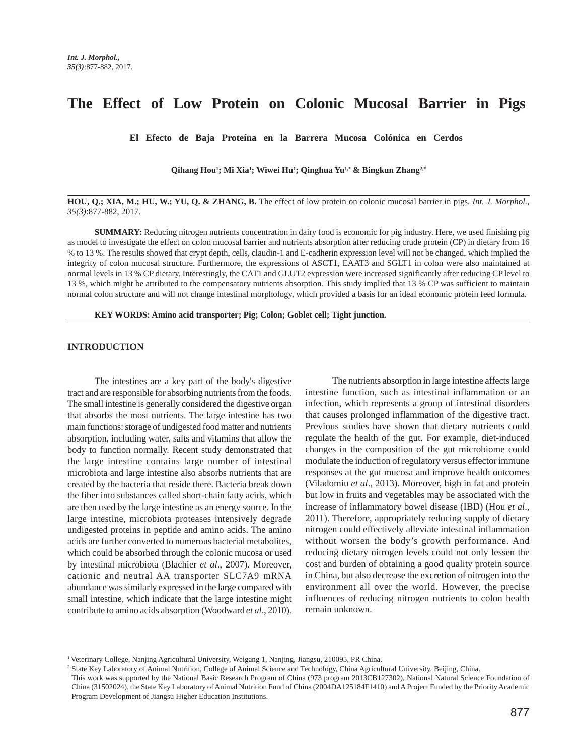# **The Effect of Low Protein on Colonic Mucosal Barrier in Pigs**

**El Efecto de Baja Proteína en la Barrera Mucosa Colónica en Cerdos**

**Qihang Hou1 ; Mi Xia1 ; Wiwei Hu1 ; Qinghua Yu1,\* & Bingkun Zhang2,\***

**HOU, Q.; XIA, M.; HU, W.; YU, Q. & ZHANG, B.** The effect of low protein on colonic mucosal barrier in pigs. *Int. J. Morphol., 35(3)*:877-882, 2017.

**SUMMARY:** Reducing nitrogen nutrients concentration in dairy food is economic for pig industry. Here, we used finishing pig as model to investigate the effect on colon mucosal barrier and nutrients absorption after reducing crude protein (CP) in dietary from 16 % to 13 %. The results showed that crypt depth, cells, claudin-1 and E-cadherin expression level will not be changed, which implied the integrity of colon mucosal structure. Furthermore, the expressions of ASCT1, EAAT3 and SGLT1 in colon were also maintained at normal levels in 13 % CP dietary. Interestingly, the CAT1 and GLUT2 expression were increased significantly after reducing CP level to 13 %, which might be attributed to the compensatory nutrients absorption. This study implied that 13 % CP was sufficient to maintain normal colon structure and will not change intestinal morphology, which provided a basis for an ideal economic protein feed formula.

**KEY WORDS: Amino acid transporter; Pig; Colon; Goblet cell; Tight junction.**

## **INTRODUCTION**

The intestines are a key part of the body's digestive tract and are responsible for absorbing nutrients from the foods. The small intestine is generally considered the digestive organ that absorbs the most nutrients. The large intestine has two main functions: storage of undigested food matter and nutrients absorption, including water, salts and vitamins that allow the body to function normally. Recent study demonstrated that the large intestine contains large number of intestinal microbiota and large intestine also absorbs nutrients that are created by the bacteria that reside there. Bacteria break down the fiber into substances called short-chain fatty acids, which are then used by the large intestine as an energy source. In the large intestine, microbiota proteases intensively degrade undigested proteins in peptide and amino acids. The amino acids are further converted to numerous bacterial metabolites, which could be absorbed through the colonic mucosa or used by intestinal microbiota (Blachier *et al*., 2007). Moreover, cationic and neutral AA transporter SLC7A9 mRNA abundance was similarly expressed in the large compared with small intestine, which indicate that the large intestine might contribute to amino acids absorption (Woodward *et al*., 2010).

The nutrients absorption in large intestine affects large intestine function, such as intestinal inflammation or an infection, which represents a group of intestinal disorders that causes prolonged inflammation of the digestive tract. Previous studies have shown that dietary nutrients could regulate the health of the gut. For example, diet-induced changes in the composition of the gut microbiome could modulate the induction of regulatory versus effector immune responses at the gut mucosa and improve health outcomes (Viladomiu *et al*., 2013). Moreover, high in fat and protein but low in fruits and vegetables may be associated with the increase of inflammatory bowel disease (IBD) (Hou *et al*., 2011). Therefore, appropriately reducing supply of dietary nitrogen could effectively alleviate intestinal inflammation without worsen the body's growth performance. And reducing dietary nitrogen levels could not only lessen the cost and burden of obtaining a good quality protein source in China, but also decrease the excretion of nitrogen into the environment all over the world. However, the precise influences of reducing nitrogen nutrients to colon health remain unknown.

<sup>1</sup> Veterinary College, Nanjing Agricultural University, Weigang 1, Nanjing, Jiangsu, 210095, PR China.

<sup>2</sup> State Key Laboratory of Animal Nutrition, College of Animal Science and Technology, China Agricultural University, Beijing, China.

This work was supported by the National Basic Research Program of China (973 program 2013CB127302), National Natural Science Foundation of China (31502024), the State Key Laboratory of Animal Nutrition Fund of China (2004DA125184F1410) and A Project Funded by the Priority Academic Program Development of Jiangsu Higher Education Institutions.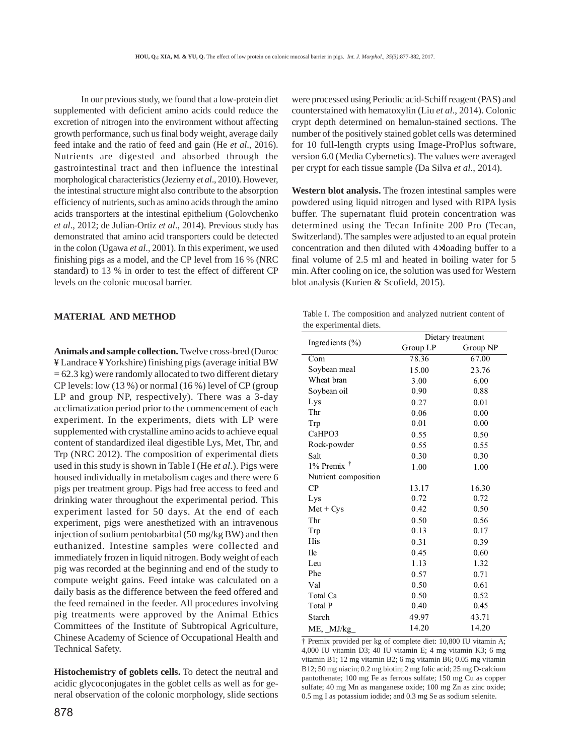In our previous study, we found that a low-protein diet supplemented with deficient amino acids could reduce the excretion of nitrogen into the environment without affecting growth performance, such us final body weight, average daily feed intake and the ratio of feed and gain (He *et al*., 2016). Nutrients are digested and absorbed through the gastrointestinal tract and then influence the intestinal morphological characteristics (Jezierny *et al*., 2010). However, the intestinal structure might also contribute to the absorption efficiency of nutrients, such as amino acids through the amino acids transporters at the intestinal epithelium (Golovchenko *et al*., 2012; de Julian-Ortiz *et al*., 2014). Previous study has demonstrated that amino acid transporters could be detected in the colon (Ugawa *et al*., 2001). In this experiment, we used finishing pigs as a model, and the CP level from 16 % (NRC standard) to 13 % in order to test the effect of different CP levels on the colonic mucosal barrier.

### **MATERIAL AND METHOD**

**Animals and sample collection.** Twelve cross-bred (Duroc ¥ Landrace ¥ Yorkshire) finishing pigs (average initial BW  $= 62.3$  kg) were randomly allocated to two different dietary CP levels: low (13 %) or normal (16 %) level of CP (group LP and group NP, respectively). There was a 3-day acclimatization period prior to the commencement of each experiment. In the experiments, diets with LP were supplemented with crystalline amino acids to achieve equal content of standardized ileal digestible Lys, Met, Thr, and Trp (NRC 2012). The composition of experimental diets used in this study is shown in Table I (He *et al*.). Pigs were housed individually in metabolism cages and there were 6 pigs per treatment group. Pigs had free access to feed and drinking water throughout the experimental period. This experiment lasted for 50 days. At the end of each experiment, pigs were anesthetized with an intravenous injection of sodium pentobarbital (50 mg/kg BW) and then euthanized. Intestine samples were collected and immediately frozen in liquid nitrogen. Body weight of each pig was recorded at the beginning and end of the study to compute weight gains. Feed intake was calculated on a daily basis as the difference between the feed offered and the feed remained in the feeder. All procedures involving pig treatments were approved by the Animal Ethics Committees of the Institute of Subtropical Agriculture, Chinese Academy of Science of Occupational Health and Technical Safety.

**Histochemistry of goblets cells.** To detect the neutral and acidic glycoconjugates in the goblet cells as well as for general observation of the colonic morphology, slide sections were processed using Periodic acid-Schiff reagent (PAS) and counterstained with hematoxylin (Liu *et al*., 2014). Colonic crypt depth determined on hemalun-stained sections. The number of the positively stained goblet cells was determined for 10 full-length crypts using Image-ProPlus software, version 6.0 (Media Cybernetics). The values were averaged per crypt for each tissue sample (Da Silva *et al*., 2014).

**Western blot analysis.** The frozen intestinal samples were powdered using liquid nitrogen and lysed with RIPA lysis buffer. The supernatant fluid protein concentration was determined using the Tecan Infinite 200 Pro (Tecan, Switzerland). The samples were adjusted to an equal protein concentration and then diluted with 4×loading buffer to a final volume of 2.5 ml and heated in boiling water for 5 min. After cooling on ice, the solution was used for Western blot analysis (Kurien & Scofield, 2015).

|  | Table I. The composition and analyzed nutrient content of |  |  |  |
|--|-----------------------------------------------------------|--|--|--|
|  | the experimental diets.                                   |  |  |  |

|                        | Dietary treatment |          |  |  |
|------------------------|-------------------|----------|--|--|
| Ingredients $(\% )$    | Group LP          | Group NP |  |  |
| Com                    | 78.36             | 67.00    |  |  |
| Soybean meal           | 15.00             | 23.76    |  |  |
| Wheat bran             | 3.00              | 6.00     |  |  |
| Soybean oil            | 0.90              | 0.88     |  |  |
| Lys                    | 0.27              | 0.01     |  |  |
| Thr                    | 0.06              | 0.00     |  |  |
| Trp                    | 0.01              | 0.00     |  |  |
| CaHPO3                 | 0.55              | 0.50     |  |  |
| Rock-powder            | 0.55              | 0.55     |  |  |
| Salt                   | 0.30              | 0.30     |  |  |
| $1\%$ Premix $\dagger$ | 1.00              | 1.00     |  |  |
| Nutrient composition   |                   |          |  |  |
| CP                     | 13.17             | 16.30    |  |  |
| Lys                    | 0.72              | 0.72     |  |  |
| $Met + Cys$            | 0.42              | 0.50     |  |  |
| Thr                    | 0.50              | 0.56     |  |  |
| Trp                    | 0.13              | 0.17     |  |  |
| His                    | 0.31              | 0.39     |  |  |
| <b>I</b> le            | 0.45              | 0.60     |  |  |
| Leu                    | 1.13              | 1.32     |  |  |
| Phe                    | 0.57              | 0.71     |  |  |
| Val                    | 0.50              | 0.61     |  |  |
| Total Ca               | 0.50              | 0.52     |  |  |
| Total P                | 0.40              | 0.45     |  |  |
| Starch                 | 49.97             | 43.71    |  |  |
| ME, MJ/kg              | 14.20             | 14.20    |  |  |

† Premix provided per kg of complete diet: 10,800 IU vitamin A; 4,000 IU vitamin D3; 40 IU vitamin E; 4 mg vitamin K3; 6 mg vitamin B1; 12 mg vitamin B2; 6 mg vitamin B6; 0.05 mg vitamin B12; 50 mg niacin; 0.2 mg biotin; 2 mg folic acid; 25 mg D-calcium pantothenate; 100 mg Fe as ferrous sulfate; 150 mg Cu as copper sulfate; 40 mg Mn as manganese oxide; 100 mg Zn as zinc oxide; 0.5 mg I as potassium iodide; and 0.3 mg Se as sodium selenite.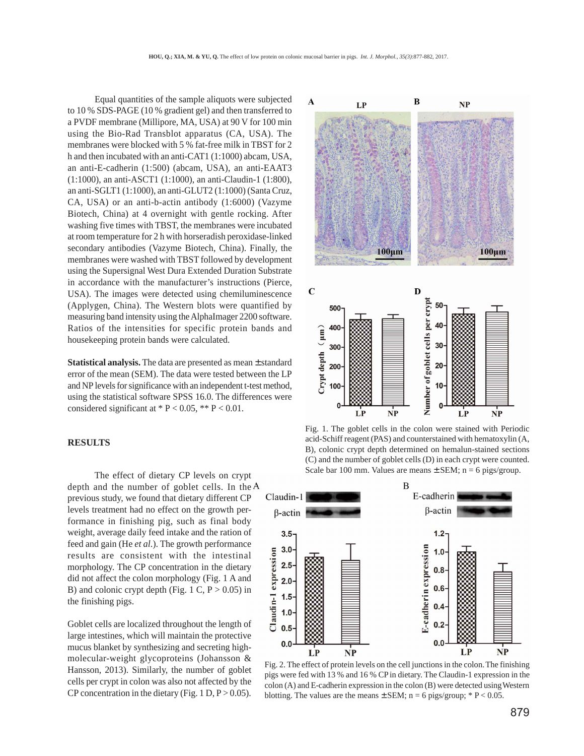Equal quantities of the sample aliquots were subjected to 10 % SDS-PAGE (10 % gradient gel) and then transferred to a PVDF membrane (Millipore, MA, USA) at 90 V for 100 min using the Bio-Rad Transblot apparatus (CA, USA). The membranes were blocked with 5 % fat-free milk in TBST for 2 h and then incubated with an anti-CAT1 (1:1000) abcam, USA, an anti-E-cadherin (1:500) (abcam, USA), an anti-EAAT3 (1:1000), an anti-ASCT1 (1:1000), an anti-Claudin-1 (1:800), an anti-SGLT1 (1:1000), an anti-GLUT2 (1:1000) (Santa Cruz, CA, USA) or an anti-b-actin antibody (1:6000) (Vazyme Biotech, China) at 4 overnight with gentle rocking. After washing five times with TBST, the membranes were incubated at room temperature for 2 h with horseradish peroxidase-linked secondary antibodies (Vazyme Biotech, China). Finally, the membranes were washed with TBST followed by development using the Supersignal West Dura Extended Duration Substrate in accordance with the manufacturer's instructions (Pierce, USA). The images were detected using chemiluminescence (Applygen, China). The Western blots were quantified by measuring band intensity using the AlphaImager 2200 software. Ratios of the intensities for specific protein bands and housekeeping protein bands were calculated.

**Statistical analysis.** The data are presented as mean ± standard error of the mean (SEM). The data were tested between the LP and NP levels for significance with an independent t-test method, using the statistical software SPSS 16.0. The differences were considered significant at  $* P < 0.05$ ,  $** P < 0.01$ .

#### **RESULTS**

The effect of dietary CP levels on crypt depth and the number of goblet cells. In the  $A$ previous study, we found that dietary different CP levels treatment had no effect on the growth performance in finishing pig, such as final body weight, average daily feed intake and the ration of feed and gain (He *et al*.). The growth performance results are consistent with the intestinal morphology. The CP concentration in the dietary did not affect the colon morphology (Fig. 1 A and B) and colonic crypt depth (Fig. 1 C,  $P > 0.05$ ) in the finishing pigs.

Goblet cells are localized throughout the length of large intestines, which will maintain the protective mucus blanket by synthesizing and secreting highmolecular-weight glycoproteins (Johansson & Hansson, 2013). Similarly, the number of goblet cells per crypt in colon was also not affected by the CP concentration in the dietary (Fig. 1 D,  $P > 0.05$ ).



Fig. 1. The goblet cells in the colon were stained with Periodic acid-Schiff reagent (PAS) and counterstained with hematoxylin (A, B), colonic crypt depth determined on hemalun-stained sections (C) and the number of goblet cells (D) in each crypt were counted. Scale bar 100 mm. Values are means  $\pm$  SEM; n = 6 pigs/group.



Fig. 2. The effect of protein levels on the cell junctions in the colon. The finishing pigs were fed with 13 % and 16 % CP in dietary. The Claudin-1 expression in the colon (A) and E-cadherin expression in the colon (B) were detected using Western blotting. The values are the means  $\pm$  SEM; n = 6 pigs/group; \* P < 0.05.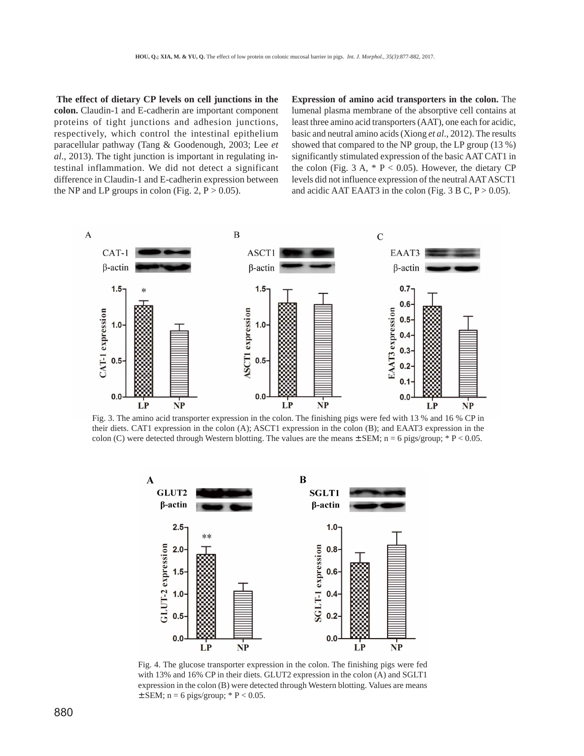**The effect of dietary CP levels on cell junctions in the colon.** Claudin-1 and E-cadherin are important component proteins of tight junctions and adhesion junctions, respectively, which control the intestinal epithelium paracellular pathway (Tang & Goodenough, 2003; Lee *et al*., 2013). The tight junction is important in regulating intestinal inflammation. We did not detect a significant difference in Claudin-1 and E-cadherin expression between the NP and LP groups in colon (Fig. 2,  $P > 0.05$ ).

**Expression of amino acid transporters in the colon.** The lumenal plasma membrane of the absorptive cell contains at least three amino acid transporters (AAT), one each for acidic, basic and neutral amino acids (Xiong *et al*., 2012). The results showed that compared to the NP group, the LP group (13 %) significantly stimulated expression of the basic AAT CAT1 in the colon (Fig. 3 A,  $* P < 0.05$ ). However, the dietary CP levels did not influence expression of the neutral AAT ASCT1 and acidic AAT EAAT3 in the colon (Fig.  $3 \text{ B C}$ , P  $> 0.05$ ).



Fig. 3. The amino acid transporter expression in the colon. The finishing pigs were fed with 13 % and 16 % CP in their diets. CAT1 expression in the colon (A); ASCT1 expression in the colon (B); and EAAT3 expression in the colon (C) were detected through Western blotting. The values are the means  $\pm$  SEM; n = 6 pigs/group; \* P < 0.05.



Fig. 4. The glucose transporter expression in the colon. The finishing pigs were fed with 13% and 16% CP in their diets. GLUT2 expression in the colon (A) and SGLT1 expression in the colon (B) were detected through Western blotting. Values are means  $\pm$  SEM; n = 6 pigs/group; \* P < 0.05.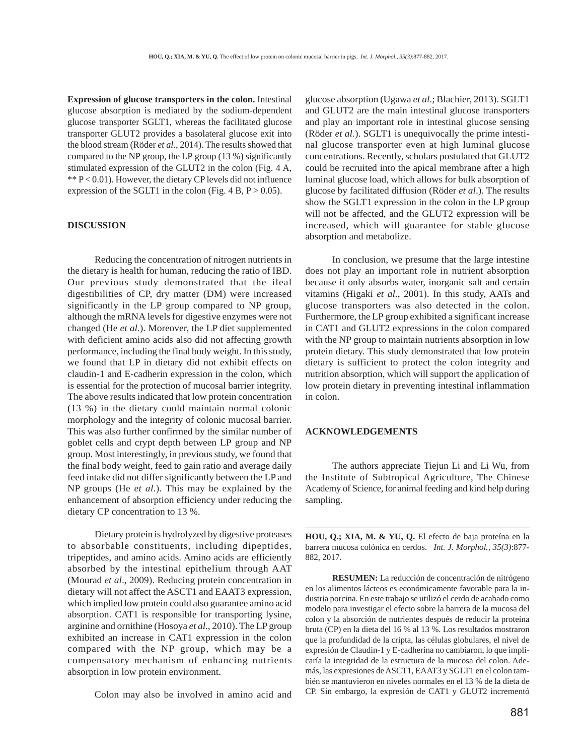**Expression of glucose transporters in the colon.** Intestinal glucose absorption is mediated by the sodium-dependent glucose transporter SGLT1, whereas the facilitated glucose transporter GLUT2 provides a basolateral glucose exit into the blood stream (Röder *et al*., 2014). The results showed that compared to the NP group, the LP group (13 %) significantly stimulated expression of the GLUT2 in the colon (Fig. 4 A, \*\* P < 0.01). However, the dietary CP levels did not influence expression of the SGLT1 in the colon (Fig.  $4 B, P > 0.05$ ).

## **DISCUSSION**

Reducing the concentration of nitrogen nutrients in the dietary is health for human, reducing the ratio of IBD. Our previous study demonstrated that the ileal digestibilities of CP, dry matter (DM) were increased significantly in the LP group compared to NP group, although the mRNA levels for digestive enzymes were not changed (He *et al*.). Moreover, the LP diet supplemented with deficient amino acids also did not affecting growth performance, including the final body weight. In this study, we found that LP in dietary did not exhibit effects on claudin-1 and E-cadherin expression in the colon, which is essential for the protection of mucosal barrier integrity. The above results indicated that low protein concentration (13 %) in the dietary could maintain normal colonic morphology and the integrity of colonic mucosal barrier. This was also further confirmed by the similar number of goblet cells and crypt depth between LP group and NP group. Most interestingly, in previous study, we found that the final body weight, feed to gain ratio and average daily feed intake did not differ significantly between the LP and NP groups (He *et al*.). This may be explained by the enhancement of absorption efficiency under reducing the dietary CP concentration to 13 %.

Dietary protein is hydrolyzed by digestive proteases to absorbable constituents, including dipeptides, tripeptides, and amino acids. Amino acids are efficiently absorbed by the intestinal epithelium through AAT (Mourad *et al*., 2009). Reducing protein concentration in dietary will not affect the ASCT1 and EAAT3 expression, which implied low protein could also guarantee amino acid absorption. CAT1 is responsible for transporting lysine, arginine and ornithine (Hosoya *et al*., 2010). The LP group exhibited an increase in CAT1 expression in the colon compared with the NP group, which may be a compensatory mechanism of enhancing nutrients absorption in low protein environment.

Colon may also be involved in amino acid and

glucose absorption (Ugawa *et al*.; Blachier, 2013). SGLT1 and GLUT2 are the main intestinal glucose transporters and play an important role in intestinal glucose sensing (Röder *et al*.). SGLT1 is unequivocally the prime intestinal glucose transporter even at high luminal glucose concentrations. Recently, scholars postulated that GLUT2 could be recruited into the apical membrane after a high luminal glucose load, which allows for bulk absorption of glucose by facilitated diffusion (Röder *et al*.). The results show the SGLT1 expression in the colon in the LP group will not be affected, and the GLUT2 expression will be increased, which will guarantee for stable glucose absorption and metabolize.

In conclusion, we presume that the large intestine does not play an important role in nutrient absorption because it only absorbs water, inorganic salt and certain vitamins (Higaki *et al*., 2001). In this study, AATs and glucose transporters was also detected in the colon. Furthermore, the LP group exhibited a significant increase in CAT1 and GLUT2 expressions in the colon compared with the NP group to maintain nutrients absorption in low protein dietary. This study demonstrated that low protein dietary is sufficient to protect the colon integrity and nutrition absorption, which will support the application of low protein dietary in preventing intestinal inflammation in colon.

#### **ACKNOWLEDGEMENTS**

The authors appreciate Tiejun Li and Li Wu, from the Institute of Subtropical Agriculture, The Chinese Academy of Science, for animal feeding and kind help during sampling.

**HOU, Q.; XIA, M. & YU, Q.** El efecto de baja proteína en la barrera mucosa colónica en cerdos. *Int. J. Morphol., 35(3)*:877- 882, 2017.

**RESUMEN:** La reducción de concentración de nitrógeno en los alimentos lácteos es económicamente favorable para la industria porcina. En este trabajo se utilizó el cerdo de acabado como modelo para investigar el efecto sobre la barrera de la mucosa del colon y la absorción de nutrientes después de reducir la proteína bruta (CP) en la dieta del 16 % al 13 %. Los resultados mostraron que la profundidad de la cripta, las células globulares, el nivel de expresión de Claudin-1 y E-cadherina no cambiaron, lo que implicaría la integridad de la estructura de la mucosa del colon. Además, las expresiones de ASCT1, EAAT3 y SGLT1 en el colon también se mantuvieron en niveles normales en el 13 % de la dieta de CP. Sin embargo, la expresión de CAT1 y GLUT2 incrementó